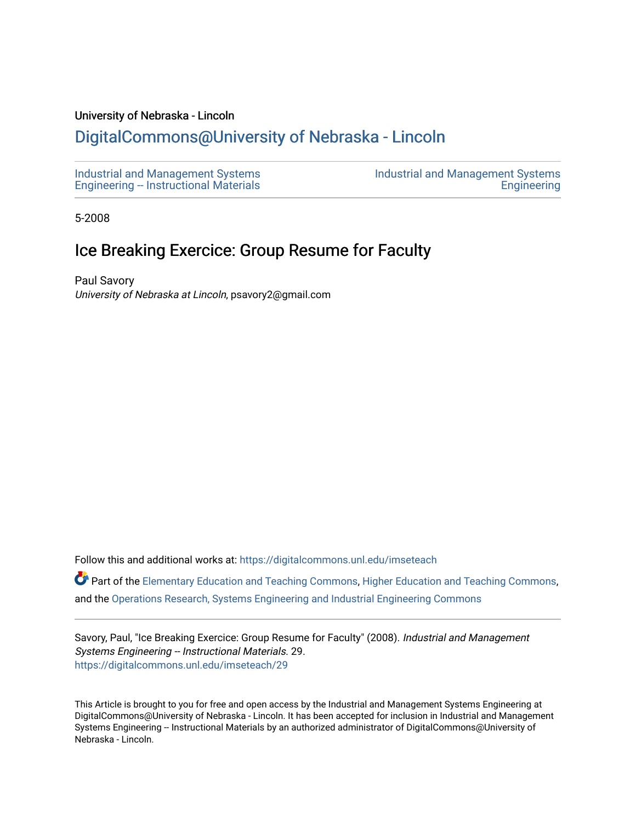## University of Nebraska - Lincoln

## [DigitalCommons@University of Nebraska - Lincoln](https://digitalcommons.unl.edu/)

[Industrial and Management Systems](https://digitalcommons.unl.edu/imseteach)  [Engineering -- Instructional Materials](https://digitalcommons.unl.edu/imseteach)  [Industrial and Management Systems](https://digitalcommons.unl.edu/imse)  **Engineering** 

5-2008

## Ice Breaking Exercice: Group Resume for Faculty

Paul Savory University of Nebraska at Lincoln, psavory2@gmail.com

Follow this and additional works at: [https://digitalcommons.unl.edu/imseteach](https://digitalcommons.unl.edu/imseteach?utm_source=digitalcommons.unl.edu%2Fimseteach%2F29&utm_medium=PDF&utm_campaign=PDFCoverPages) 

Part of the [Elementary Education and Teaching Commons,](http://network.bepress.com/hgg/discipline/805?utm_source=digitalcommons.unl.edu%2Fimseteach%2F29&utm_medium=PDF&utm_campaign=PDFCoverPages) [Higher Education and Teaching Commons,](http://network.bepress.com/hgg/discipline/806?utm_source=digitalcommons.unl.edu%2Fimseteach%2F29&utm_medium=PDF&utm_campaign=PDFCoverPages) and the [Operations Research, Systems Engineering and Industrial Engineering Commons](http://network.bepress.com/hgg/discipline/305?utm_source=digitalcommons.unl.edu%2Fimseteach%2F29&utm_medium=PDF&utm_campaign=PDFCoverPages) 

Savory, Paul, "Ice Breaking Exercice: Group Resume for Faculty" (2008). Industrial and Management Systems Engineering -- Instructional Materials. 29. [https://digitalcommons.unl.edu/imseteach/29](https://digitalcommons.unl.edu/imseteach/29?utm_source=digitalcommons.unl.edu%2Fimseteach%2F29&utm_medium=PDF&utm_campaign=PDFCoverPages)

This Article is brought to you for free and open access by the Industrial and Management Systems Engineering at DigitalCommons@University of Nebraska - Lincoln. It has been accepted for inclusion in Industrial and Management Systems Engineering -- Instructional Materials by an authorized administrator of DigitalCommons@University of Nebraska - Lincoln.